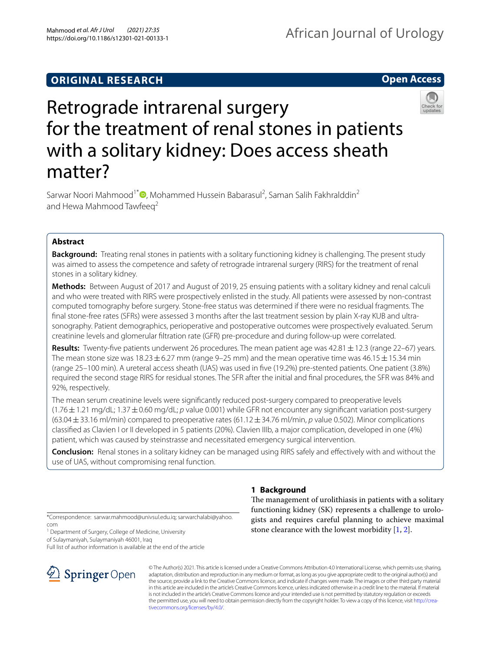## **ORIGINAL RESEARCH**

## **Open Access**



# Retrograde intrarenal surgery for the treatment of renal stones in patients with a solitary kidney: Does access sheath matter?

Sarwar Noori Mahmood<sup>1[\\*](http://orcid.org/0000-0002-1426-8281)</sup><sup>®</sup>, Mohammed Hussein Babarasul<sup>2</sup>, Saman Salih Fakhralddin<sup>2</sup> and Hewa Mahmood Tawfeeg<sup>2</sup>

## **Abstract**

**Background:** Treating renal stones in patients with a solitary functioning kidney is challenging. The present study was aimed to assess the competence and safety of retrograde intrarenal surgery (RIRS) for the treatment of renal stones in a solitary kidney.

**Methods:** Between August of 2017 and August of 2019, 25 ensuing patients with a solitary kidney and renal calculi and who were treated with RIRS were prospectively enlisted in the study. All patients were assessed by non-contrast computed tomography before surgery. Stone-free status was determined if there were no residual fragments. The fnal stone-free rates (SFRs) were assessed 3 months after the last treatment session by plain X-ray KUB and ultrasonography. Patient demographics, perioperative and postoperative outcomes were prospectively evaluated. Serum creatinine levels and glomerular fltration rate (GFR) pre-procedure and during follow-up were correlated.

**Results:** Twenty-five patients underwent 26 procedures. The mean patient age was 42.81  $\pm$  12.3 (range 22–67) years. The mean stone size was 18.23  $\pm$  6.27 mm (range 9–25 mm) and the mean operative time was 46.15  $\pm$  15.34 min (range 25–100 min). A ureteral access sheath (UAS) was used in fve (19.2%) pre-stented patients. One patient (3.8%) required the second stage RIRS for residual stones. The SFR after the initial and fnal procedures, the SFR was 84% and 92%, respectively.

The mean serum creatinine levels were signifcantly reduced post-surgery compared to preoperative levels (1.76±1.21 mg/dL; 1.37±0.60 mg/dL; *p* value 0.001) while GFR not encounter any signifcant variation post-surgery (63.04±33.16 ml/min) compared to preoperative rates (61.12±34.76 ml/min, *p* value 0.502). Minor complications classifed as Clavien I or II developed in 5 patients (20%). Clavien IIIb, a major complication, developed in one (4%) patient, which was caused by steinstrasse and necessitated emergency surgical intervention.

**Conclusion:** Renal stones in a solitary kidney can be managed using RIRS safely and efectively with and without the use of UAS, without compromising renal function.

## **1 Background**

The management of urolithiasis in patients with a solitary functioning kidney (SK) represents a challenge to urologists and requires careful planning to achieve maximal stone clearance with the lowest morbidity [\[1](#page-5-0), [2\]](#page-5-1).

\*Correspondence: sarwar.mahmood@univsul.edu.iq; sarwarchalabi@yahoo. com

<sup>1</sup> Department of Surgery, College of Medicine, University

of Sulaymaniyah, Sulaymaniyah 46001, Iraq

Full list of author information is available at the end of the article



© The Author(s) 2021. This article is licensed under a Creative Commons Attribution 4.0 International License, which permits use, sharing, adaptation, distribution and reproduction in any medium or format, as long as you give appropriate credit to the original author(s) and the source, provide a link to the Creative Commons licence, and indicate if changes were made. The images or other third party material in this article are included in the article's Creative Commons licence, unless indicated otherwise in a credit line to the material. If material is not included in the article's Creative Commons licence and your intended use is not permitted by statutory regulation or exceeds the permitted use, you will need to obtain permission directly from the copyright holder. To view a copy of this licence, visit [http://crea](http://creativecommons.org/licenses/by/4.0/)[tivecommons.org/licenses/by/4.0/.](http://creativecommons.org/licenses/by/4.0/)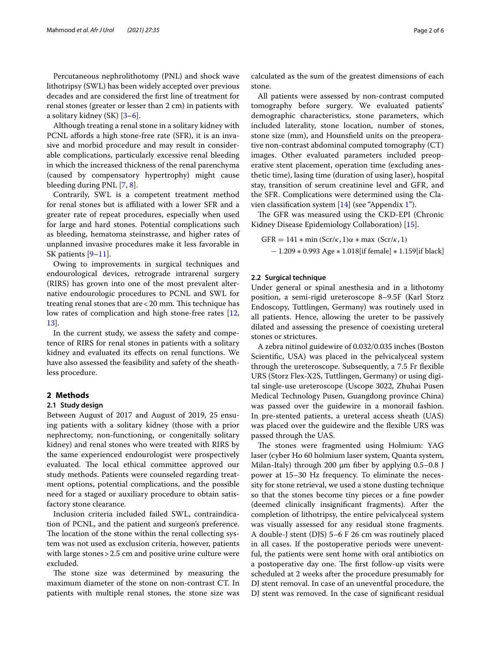Percutaneous nephrolithotomy (PNL) and shock wave lithotripsy (SWL) has been widely accepted over previous decades and are considered the frst line of treatment for renal stones (greater or lesser than 2 cm) in patients with a solitary kidney (SK) [[3](#page-5-2)[–6](#page-5-3)].

Although treating a renal stone in a solitary kidney with PCNL affords a high stone-free rate (SFR), it is an invasive and morbid procedure and may result in considerable complications, particularly excessive renal bleeding in which the increased thickness of the renal parenchyma (caused by compensatory hypertrophy) might cause bleeding during PNL [[7,](#page-5-4) [8\]](#page-5-5).

Contrarily, SWL is a competent treatment method for renal stones but is affiliated with a lower SFR and a greater rate of repeat procedures, especially when used for large and hard stones. Potential complications such as bleeding, hematoma steinstrasse, and higher rates of unplanned invasive procedures make it less favorable in SK patients [[9–](#page-5-6)[11](#page-5-7)].

Owing to improvements in surgical techniques and endourological devices, retrograde intrarenal surgery (RIRS) has grown into one of the most prevalent alternative endourologic procedures to PCNL and SWL for treating renal stones that  $are < 20$  mm. This technique has low rates of complication and high stone-free rates [\[12](#page-5-8), [13\]](#page-5-9).

In the current study, we assess the safety and competence of RIRS for renal stones in patients with a solitary kidney and evaluated its efects on renal functions. We have also assessed the feasibility and safety of the sheathless procedure.

#### **2 Methods**

#### **2.1 Study design**

Between August of 2017 and August of 2019, 25 ensuing patients with a solitary kidney (those with a prior nephrectomy, non-functioning, or congenitally solitary kidney) and renal stones who were treated with RIRS by the same experienced endourologist were prospectively evaluated. The local ethical committee approved our study methods. Patients were counseled regarding treatment options, potential complications, and the possible need for a staged or auxiliary procedure to obtain satisfactory stone clearance.

Inclusion criteria included failed SWL, contraindication of PCNL, and the patient and surgeon's preference. The location of the stone within the renal collecting system was not used as exclusion criteria, however, patients with large stones > 2.5 cm and positive urine culture were excluded.

The stone size was determined by measuring the maximum diameter of the stone on non-contrast CT. In patients with multiple renal stones, the stone size was calculated as the sum of the greatest dimensions of each stone.

All patients were assessed by non-contrast computed tomography before surgery. We evaluated patients' demographic characteristics, stone parameters, which included laterality, stone location, number of stones, stone size (mm), and Hounsfeld units on the preoperative non-contrast abdominal computed tomography (CT) images. Other evaluated parameters included preoperative stent placement, operation time (excluding anesthetic time), lasing time (duration of using laser), hospital stay, transition of serum creatinine level and GFR, and the SFR. Complications were determined using the Clavien classifcation system [[14\]](#page-5-10) (see "Appendix [1](#page-5-11)").

The GFR was measured using the CKD-EPI (Chronic Kidney Disease Epidemiology Collaboration) [\[15](#page-5-12)].

 $GFR = 141 * min (Scr/\kappa, 1)\alpha * max (Scr/\kappa, 1)$ − 1.209 ∗ 0.993 Age ∗ 1.018[if female] ∗ 1.159[if black]

#### **2.2 Surgical technique**

Under general or spinal anesthesia and in a lithotomy position, a semi-rigid ureteroscope 8–9.5F (Karl Storz Endoscopy, Tuttlingen, Germany) was routinely used in all patients. Hence, allowing the ureter to be passively dilated and assessing the presence of coexisting ureteral stones or strictures.

A zebra nitinol guidewire of 0.032/0.035 inches (Boston Scientifc, USA) was placed in the pelvicalyceal system through the ureteroscope. Subsequently, a 7.5 Fr fexible URS (Storz Flex-X2S, Tuttlingen, Germany) or using digital single-use ureteroscope (Uscope 3022, Zhuhai Pusen Medical Technology Pusen, Guangdong province China) was passed over the guidewire in a monorail fashion. In pre-stented patients, a ureteral access sheath (UAS) was placed over the guidewire and the fexible URS was passed through the UAS.

The stones were fragmented using Holmium: YAG laser (cyber Ho 60 holmium laser system, Quanta system, Milan-Italy) through 200 μm fber by applying 0.5–0.8 J power at 15–30 Hz frequency. To eliminate the necessity for stone retrieval, we used a stone dusting technique so that the stones become tiny pieces or a fne powder (deemed clinically insignifcant fragments). After the completion of lithotripsy, the entire pelvicalyceal system was visually assessed for any residual stone fragments. A double-J stent (DJS) 5–6 F 26 cm was routinely placed in all cases. If the postoperative periods were uneventful, the patients were sent home with oral antibiotics on a postoperative day one. The first follow-up visits were scheduled at 2 weeks after the procedure presumably for DJ stent removal. In case of an uneventful procedure, the DJ stent was removed. In the case of signifcant residual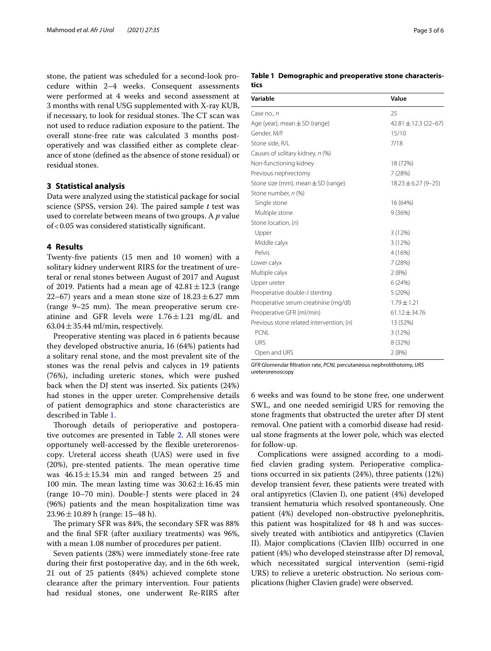stone, the patient was scheduled for a second-look procedure within 2–4 weeks. Consequent assessments were performed at 4 weeks and second assessment at 3 months with renal USG supplemented with X-ray KUB, if necessary, to look for residual stones. The CT scan was not used to reduce radiation exposure to the patient. The overall stone-free rate was calculated 3 months postoperatively and was classifed either as complete clearance of stone (defned as the absence of stone residual) or residual stones.

#### **3 Statistical analysis**

Data were analyzed using the statistical package for social science (SPSS, version 24). The paired sample *t* test was used to correlate between means of two groups. A *p* value of<0.05 was considered statistically signifcant.

#### **4 Results**

Twenty-fve patients (15 men and 10 women) with a solitary kidney underwent RIRS for the treatment of ureteral or renal stones between August of 2017 and August of 2019. Patients had a mean age of  $42.81 \pm 12.3$  (range 22–67) years and a mean stone size of  $18.23 \pm 6.27$  mm (range  $9-25$  mm). The mean preoperative serum creatinine and GFR levels were  $1.76 \pm 1.21$  mg/dL and  $63.04 \pm 35.44$  ml/min, respectively.

Preoperative stenting was placed in 6 patients because they developed obstructive anuria, 16 (64%) patients had a solitary renal stone, and the most prevalent site of the stones was the renal pelvis and calyces in 19 patients (76%), including ureteric stones, which were pushed back when the DJ stent was inserted. Six patients (24%) had stones in the upper ureter. Comprehensive details of patient demographics and stone characteristics are described in Table [1.](#page-2-0)

Thorough details of perioperative and postoperative outcomes are presented in Table [2](#page-3-0). All stones were opportunely well-accessed by the fexible ureterorenoscopy. Ureteral access sheath (UAS) were used in fve  $(20%)$ , pre-stented patients. The mean operative time was  $46.15 \pm 15.34$  min and ranged between 25 and 100 min. The mean lasting time was  $30.62 \pm 16.45$  min (range 10–70 min). Double-J stents were placed in 24 (96%) patients and the mean hospitalization time was  $23.96 \pm 10.89$  h (range: 15–48 h).

The primary SFR was 84%, the secondary SFR was 88% and the fnal SFR (after auxiliary treatments) was 96%, with a mean 1.08 number of procedures per patient.

Seven patients (28%) were immediately stone-free rate during their frst postoperative day, and in the 6th week, 21 out of 25 patients (84%) achieved complete stone clearance after the primary intervention. Four patients had residual stones, one underwent Re-RIRS after

#### <span id="page-2-0"></span>**Table 1 Demographic and preoperative stone characteristics**

| Variable                                 | Value                     |  |
|------------------------------------------|---------------------------|--|
| Case no., n                              | 25                        |  |
| Age (year), mean $\pm$ SD (range)        | $42.81 \pm 12.3$ (22-67)  |  |
| Gender, M/F                              | 15/10                     |  |
| Stone side, R/L                          | 7/18                      |  |
| Causes of solitary kidney, n (%)         |                           |  |
| Non-functioning kidney                   | 18 (72%)                  |  |
| Previous nephrectomy                     | 7(28%)                    |  |
| Stone size (mm), mean $\pm$ SD (range)   | $18.23 \pm 6.27 (9 - 25)$ |  |
| Stone number, n (%)                      |                           |  |
| Single stone                             | 16 (64%)                  |  |
| Multiple stone                           | 9(36%)                    |  |
| Stone location, (n)                      |                           |  |
| Upper                                    | 3(12%)                    |  |
| Middle calyx                             | 3(12%)                    |  |
| Pelvis                                   | 4 (16%)                   |  |
| Lower calyx                              | 7(28%)                    |  |
| Multiple calyx                           | 2(8%)                     |  |
| Upper ureter                             | 6(24%)                    |  |
| Preoperative double-J stenting           | 5(20%)                    |  |
| Preoperative serum creatinine (mg/dl)    | $1.79 \pm 1.21$           |  |
| Preoperative GFR (ml/min)                | $61.12 \pm 34.76$         |  |
| Previous stone related intervention, (n) | 13 (52%)                  |  |
| <b>PCNL</b>                              | 3(12%)                    |  |
| <b>URS</b>                               | 8 (32%)                   |  |
| Open and URS                             | 2(8%)                     |  |

*GFR* Glomerular fltration rate, *PCNL* percutaneous nephrolithotomy, *URS* ureterorenoscopy

6 weeks and was found to be stone free, one underwent SWL, and one needed semirigid URS for removing the stone fragments that obstructed the ureter after DJ stent removal. One patient with a comorbid disease had residual stone fragments at the lower pole, which was elected for follow-up.

Complications were assigned according to a modifed clavien grading system. Perioperative complications occurred in six patients (24%), three patients (12%) develop transient fever, these patients were treated with oral antipyretics (Clavien I), one patient (4%) developed transient hematuria which resolved spontaneously. One patient (4%) developed non-obstructive pyelonephritis, this patient was hospitalized for 48 h and was successively treated with antibiotics and antipyretics (Clavien II). Major complications (Clavien IIIb) occurred in one patient (4%) who developed steinstrasse after DJ removal, which necessitated surgical intervention (semi-rigid URS) to relieve a ureteric obstruction. No serious complications (higher Clavien grade) were observed.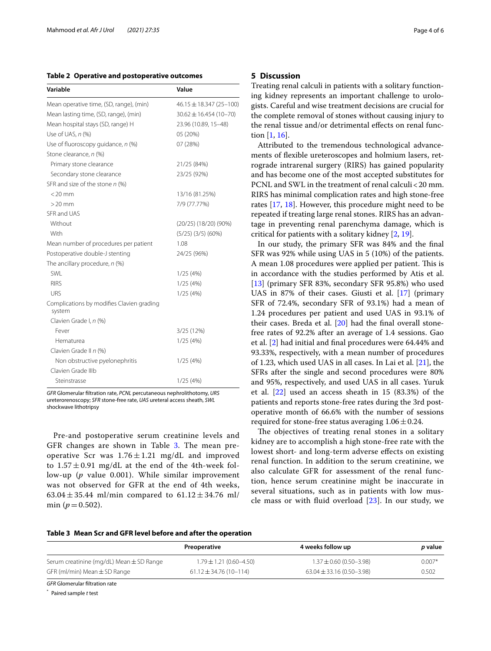<span id="page-3-0"></span>**Table 2 Operative and postoperative outcomes**

| Variable                                            | Value                       |  |
|-----------------------------------------------------|-----------------------------|--|
| Mean operative time, (SD, range), (min)             | $46.15 \pm 18.347$ (25-100) |  |
| Mean lasting time, (SD, range), (min)               | $30.62 \pm 16.454(10-70)$   |  |
| Mean hospital stays (SD, range) H                   | 23.96 (10.89, 15-48)        |  |
| Use of UAS, n (%)                                   | 05 (20%)                    |  |
| Use of fluoroscopy quidance, $n$ (%)                | 07 (28%)                    |  |
| Stone clearance, n (%)                              |                             |  |
| Primary stone clearance                             | 21/25 (84%)                 |  |
| Secondary stone clearance                           | 23/25 (92%)                 |  |
| SFR and size of the stone $n$ (%)                   |                             |  |
| $<$ 20 mm                                           | 13/16 (81.25%)              |  |
| $>$ 20 mm                                           | 7/9 (77.77%)                |  |
| SFR and UAS                                         |                             |  |
| Without                                             | $(20/25)$ $(18/20)$ $(90%)$ |  |
| With                                                | $(5/25)$ $(3/5)$ $(60%)$    |  |
| Mean number of procedures per patient               | 1.08                        |  |
| Postoperative double-J stenting                     | 24/25 (96%)                 |  |
| The ancillary procedure, n (%)                      |                             |  |
| SWI                                                 | 1/25(4%)                    |  |
| <b>RIRS</b>                                         | 1/25(4%)                    |  |
| <b>URS</b>                                          | 1/25(4%)                    |  |
| Complications by modifies Clavien grading<br>system |                             |  |
| Clavien Grade I, n (%)                              |                             |  |
| Fever                                               | 3/25 (12%)                  |  |
| Hematurea                                           | 1/25(4%)                    |  |
| Clavien Grade II n (%)                              |                             |  |
| Non obstructive pyelonephritis                      | 1/25(4%)                    |  |
| Clavien Grade IIIb                                  |                             |  |
| Steinstrasse                                        | 1/25(4%)                    |  |

*GFR* Glomerular fltration rate, *PCNL* percutaneous nephrolithotomy, *URS* ureterorenoscopy; *SFR* stone-free rate, *UAS* ureteral access sheath, *SWL* shockwave lithotripsy

Pre-and postoperative serum creatinine levels and GFR changes are shown in Table [3](#page-3-1). The mean preoperative Scr was  $1.76 \pm 1.21$  mg/dL and improved to  $1.57 \pm 0.91$  mg/dL at the end of the 4th-week follow-up (*p* value 0.001). While similar improvement was not observed for GFR at the end of 4th weeks, 63.04  $\pm$  35.44 ml/min compared to 61.12  $\pm$  34.76 ml/ min ( $p = 0.502$ ).

#### **5 Discussion**

Treating renal calculi in patients with a solitary functioning kidney represents an important challenge to urologists. Careful and wise treatment decisions are crucial for the complete removal of stones without causing injury to the renal tissue and/or detrimental effects on renal function [[1,](#page-5-0) [16](#page-5-13)].

Attributed to the tremendous technological advancements of fexible ureteroscopes and holmium lasers, retrograde intrarenal surgery (RIRS) has gained popularity and has become one of the most accepted substitutes for PCNL and SWL in the treatment of renal calculi<20 mm. RIRS has minimal complication rates and high stone-free rates [\[17](#page-5-14), [18](#page-5-15)]. However, this procedure might need to be repeated if treating large renal stones. RIRS has an advantage in preventing renal parenchyma damage, which is critical for patients with a solitary kidney [\[2](#page-5-1), [19\]](#page-5-16).

In our study, the primary SFR was 84% and the fnal SFR was 92% while using UAS in 5 (10%) of the patients. A mean 1.08 procedures were applied per patient. This is in accordance with the studies performed by Atis et al. [[13\]](#page-5-9) (primary SFR 83%, secondary SFR 95.8%) who used UAS in 87% of their cases. Giusti et al. [[17\]](#page-5-14) (primary SFR of 72.4%, secondary SFR of 93.1%) had a mean of 1.24 procedures per patient and used UAS in 93.1% of their cases. Breda et al. [\[20](#page-5-17)] had the fnal overall stonefree rates of 92.2% after an average of 1.4 sessions. Gao et al. [[2\]](#page-5-1) had initial and fnal procedures were 64.44% and 93.33%, respectively, with a mean number of procedures of 1.23, which used UAS in all cases. In Lai et al. [[21\]](#page-5-18), the SFRs after the single and second procedures were 80% and 95%, respectively, and used UAS in all cases. Yuruk et al. [\[22\]](#page-5-19) used an access sheath in 15 (83.3%) of the patients and reports stone-free rates during the 3rd postoperative month of 66.6% with the number of sessions required for stone-free status averaging  $1.06 \pm 0.24$ .

The objectives of treating renal stones in a solitary kidney are to accomplish a high stone-free rate with the lowest short- and long-term adverse efects on existing renal function. In addition to the serum creatinine, we also calculate GFR for assessment of the renal function, hence serum creatinine might be inaccurate in several situations, such as in patients with low muscle mass or with fluid overload  $[23]$  $[23]$ . In our study, we

#### <span id="page-3-1"></span>**Table 3 Mean Scr and GFR level before and after the operation**

|                                              | Preoperative                | 4 weeks follow up               | <i>p</i> value |
|----------------------------------------------|-----------------------------|---------------------------------|----------------|
| Serum creatinine (mg/dL) Mean $\pm$ SD Range | $1.79 \pm 1.21$ (0.60–4.50) | $1.37 \pm 0.60$ (0.50-3.98)     | $0.007*$       |
| GFR (ml/min) Mean $\pm$ SD Range             | $61.12 \pm 34.76$ (10-114)  | $63.04 \pm 33.16 (0.50 - 3.98)$ | 0.502          |
|                                              |                             |                                 |                |

*GFR* Glomerular fltration rate

\* Paired sample *t* test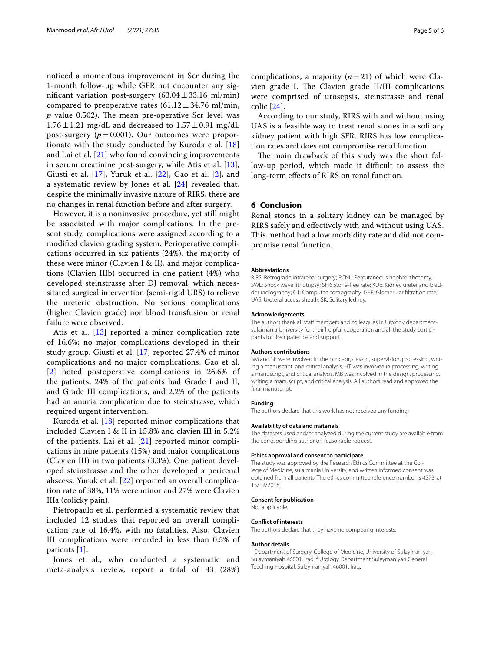noticed a momentous improvement in Scr during the 1-month follow-up while GFR not encounter any significant variation post-surgery  $(63.04 \pm 33.16 \text{ ml/min})$ compared to preoperative rates  $(61.12 \pm 34.76 \text{ ml/min},$  $p$  value 0.502). The mean pre-operative Scr level was  $1.76 \pm 1.21$  mg/dL and decreased to  $1.57 \pm 0.91$  mg/dL post-surgery  $(p=0.001)$ . Our outcomes were proportionate with the study conducted by Kuroda e al. [\[18](#page-5-15)] and Lai et al.  $[21]$  $[21]$  $[21]$  who found convincing improvements in serum creatinine post-surgery, while Atis et al. [[13\]](#page-5-9), Giusti et al.  $[17]$  $[17]$ , Yuruk et al.  $[22]$  $[22]$ , Gao et al.  $[2]$  $[2]$ , and a systematic review by Jones et al. [[24\]](#page-5-21) revealed that, despite the minimally invasive nature of RIRS, there are no changes in renal function before and after surgery.

However, it is a noninvasive procedure, yet still might be associated with major complications. In the present study, complications were assigned according to a modifed clavien grading system. Perioperative complications occurred in six patients (24%), the majority of these were minor (Clavien I & II), and major complications (Clavien IIIb) occurred in one patient (4%) who developed steinstrasse after DJ removal, which necessitated surgical intervention (semi-rigid URS) to relieve the ureteric obstruction. No serious complications (higher Clavien grade) nor blood transfusion or renal failure were observed.

Atis et al.  $[13]$  $[13]$  reported a minor complication rate of 16.6%; no major complications developed in their study group. Giusti et al. [\[17](#page-5-14)] reported 27.4% of minor complications and no major complications. Gao et al. [[2](#page-5-1)] noted postoperative complications in 26.6% of the patients, 24% of the patients had Grade I and II, and Grade III complications, and 2.2% of the patients had an anuria complication due to steinstrasse, which required urgent intervention.

Kuroda et al. [\[18](#page-5-15)] reported minor complications that included Clavien I & II in 15.8% and clavien III in 5.2% of the patients. Lai et al.  $[21]$  $[21]$  $[21]$  reported minor complications in nine patients (15%) and major complications (Clavien III) in two patients (3.3%). One patient developed steinstrasse and the other developed a perirenal abscess. Yuruk et al. [\[22](#page-5-19)] reported an overall complication rate of 38%, 11% were minor and 27% were Clavien IIIa (colicky pain).

Pietropaulo et al. performed a systematic review that included 12 studies that reported an overall complication rate of 16.4%, with no fatalities. Also, Clavien III complications were recorded in less than 0.5% of patients [\[1](#page-5-0)].

Jones et al., who conducted a systematic and meta-analysis review, report a total of 33 (28%)

complications, a majority  $(n=21)$  of which were Clavien grade I. The Clavien grade II/III complications were comprised of urosepsis, steinstrasse and renal colic [\[24\]](#page-5-21).

According to our study, RIRS with and without using UAS is a feasible way to treat renal stones in a solitary kidney patient with high SFR. RIRS has low complication rates and does not compromise renal function.

The main drawback of this study was the short follow-up period, which made it difficult to assess the long-term efects of RIRS on renal function.

#### **6 Conclusion**

Renal stones in a solitary kidney can be managed by RIRS safely and efectively with and without using UAS. This method had a low morbidity rate and did not compromise renal function.

#### **Abbreviations**

RIRS: Retrograde intrarenal surgery; PCNL: Percutaneous nephrolithotomy; SWL: Shock wave lithotripsy; SFR: Stone-free rate; KUB: Kidney ureter and bladder radiography; CT: Computed tomography; GFR: Glomerular fltration rate; UAS: Ureteral access sheath; SK: Solitary kidney.

#### **Acknowledgements**

The authors thank all staff members and colleagues in Urology departmentsulaimania University for their helpful cooperation and all the study participants for their patience and support.

#### **Authors contributions**

SM and SF were involved in the concept, design, supervision, processing, writing a manuscript, and critical analysis. HT was involved in processing, writing a manuscript, and critical analysis. MB was involved in the design, processing, writing a manuscript, and critical analysis. All authors read and approved the fnal manuscript.

#### **Funding**

The authors declare that this work has not received any funding.

#### **Availability of data and materials**

The datasets used and/or analyzed during the current study are available from the corresponding author on reasonable request.

#### **Ethics approval and consent to participate**

The study was approved by the Research Ethics Committee at the College of Medicine, sulaimania University, and written informed consent was obtained from all patients. The ethics committee reference number is 4573, at 15/12/2018.

#### **Consent for publication**

Not applicable.

#### **Conflict of interests**

The authors declare that they have no competing interests.

#### **Author details**

<sup>1</sup> Department of Surgery, College of Medicine, University of Sulaymaniyah, Sulaymaniyah 46001, Iraq. <sup>2</sup> Urology Department Sulaymaniyah General Teaching Hospital, Sulaymaniyah 46001, Iraq.